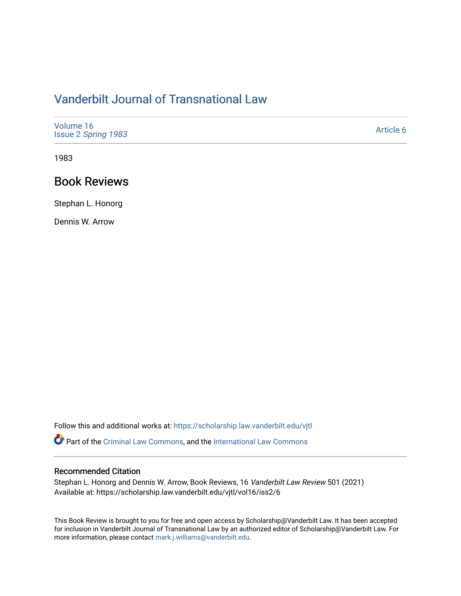## [Vanderbilt Journal of Transnational Law](https://scholarship.law.vanderbilt.edu/vjtl)

| Volume 16<br>Issue 2 Spring 1983 | Article 6 |
|----------------------------------|-----------|
|----------------------------------|-----------|

1983

### Book Reviews

Stephan L. Honorg

Dennis W. Arrow

Follow this and additional works at: [https://scholarship.law.vanderbilt.edu/vjtl](https://scholarship.law.vanderbilt.edu/vjtl?utm_source=scholarship.law.vanderbilt.edu%2Fvjtl%2Fvol16%2Fiss2%2F6&utm_medium=PDF&utm_campaign=PDFCoverPages) 

Part of the [Criminal Law Commons,](https://network.bepress.com/hgg/discipline/912?utm_source=scholarship.law.vanderbilt.edu%2Fvjtl%2Fvol16%2Fiss2%2F6&utm_medium=PDF&utm_campaign=PDFCoverPages) and the [International Law Commons](https://network.bepress.com/hgg/discipline/609?utm_source=scholarship.law.vanderbilt.edu%2Fvjtl%2Fvol16%2Fiss2%2F6&utm_medium=PDF&utm_campaign=PDFCoverPages) 

### Recommended Citation

Stephan L. Honorg and Dennis W. Arrow, Book Reviews, 16 Vanderbilt Law Review 501 (2021) Available at: https://scholarship.law.vanderbilt.edu/vjtl/vol16/iss2/6

This Book Review is brought to you for free and open access by Scholarship@Vanderbilt Law. It has been accepted for inclusion in Vanderbilt Journal of Transnational Law by an authorized editor of Scholarship@Vanderbilt Law. For more information, please contact [mark.j.williams@vanderbilt.edu](mailto:mark.j.williams@vanderbilt.edu).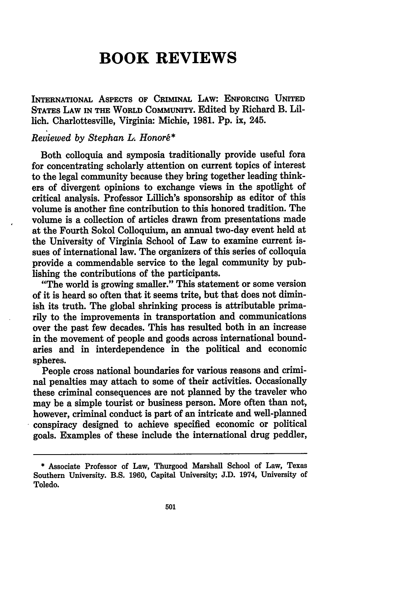# **BOOK REVIEWS**

INTERNATIONAL ASPECTS **OF** CRIMINAL LAW: **ENFORCING UNITED** STATES LAW **IN** THE WORLD COMMUNITY. Edited by Richard B. Lillich. Charlottesville, Virginia: Michie, **1981. Pp.** ix, 245.

### *Reviewed by Stephan L. Honorg\**

Both colloquia and symposia traditionally provide useful fora for concentrating scholarly attention on current topics of interest to the legal community because they bring together leading thinkers of divergent opinions to exchange views in the spotlight of critical analysis. Professor Lillich's sponsorship as editor of this volume is another fine contribution to this honored tradition. The volume is a collection of articles drawn from presentations made at the Fourth Sokol Colloquium, an annual two-day event held at the University of Virginia School of Law to examine current issues of international law. The organizers of this series of colloquia provide a commendable service to the legal community by publishing the contributions of the participants.

"The world is growing smaller." This statement or some version of it is heard so often that it seems trite, but that does not diminish its truth. The global shrinking process is attributable primarily to the improvements in transportation and communications over the past few decades. This has resulted both in an increase in the movement of people and goods across international boundaries and in interdependence in the political and economic spheres.

People cross national boundaries for various reasons and criminal penalties may attach to some of their activities. Occasionally these criminal consequences are not planned by the traveler who may be a simple tourist or business person. More often than not, however, criminal conduct is part of an intricate and well-planned conspiracy designed to achieve specified economic or political goals. Examples of these include the international drug peddler,

<sup>\*</sup> Associate Professor of Law, Thurgood Marshall School of Law, Texas Southern University. B.S. 1960, Capital University; J.D. 1974, University of Toledo.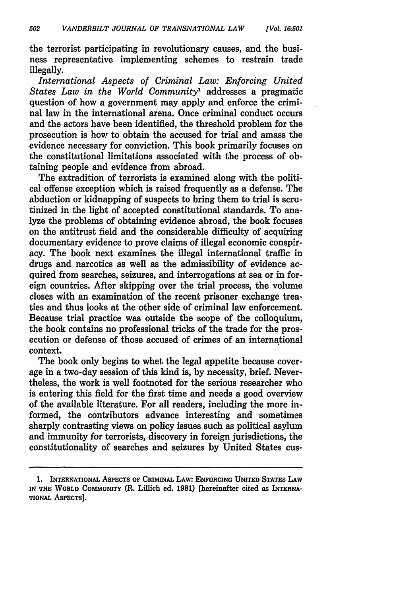the terrorist participating in revolutionary causes, and the business representative implementing schemes to restrain trade illegally.

*International Aspects of Criminal Law: Enforcing United States Law in the World Community1* addresses a pragmatic question of how a government may apply and enforce the criminal law in the international arena. Once criminal conduct occurs and the actors have been identified, the threshold problem for the prosecution is how to obtain the accused for trial and amass the evidence necessary for conviction. This book primarily focuses on the constitutional limitations associated with the process of obtaining people and evidence from abroad.

The extradition of terrorists is examined along with the political offense exception which is raised frequently as a defense. The abduction or kidnapping of suspects to bring them to trial is scrutinized in the light of accepted constitutional standards. To analyze the problems of obtaining evidence abroad, the book focuses on the antitrust field and the considerable difficulty of acquiring documentary evidence to prove claims of illegal economic conspiracy. The book next examines the illegal international traffic in drugs and narcotics as well as the admissibility of evidence acquired from searches, seizures, and interrogations at sea or in foreign countries. After skipping over the trial process, the volume closes with an examination of the recent prisoner exchange treaties and thus looks at the other side of criminal law enforcement. Because trial practice was outside the scope of the colloquium, the book contains no professional tricks of the trade for the prosecution or defense of those accused of crimes of an international context.

The book only begins to whet the legal appetite because coverage in a two-day session of this kind is, **by** necessity, brief. Nevertheless, the work is well footnoted for the serious researcher who is entering this field for the first time and needs a good overview of the available literature. For all readers, including the more **in**formed, the contributors advance interesting and sometimes sharply contrasting views on policy issues such as political asylum and immunity for terrorists, discovery in foreign jurisdictions, the constitutionality of searches and seizures **by** United States cus-

**<sup>1.</sup> INTERNATIONAL AsPEcTs OF CRIMINAL LAW: ENFORCING UNITED STATES LAW IN THE WORLD COMMUNITY** (R. Lillich ed. **1981)** [hereinafter cited as **INTERNA-TIONAL ASPECTS].**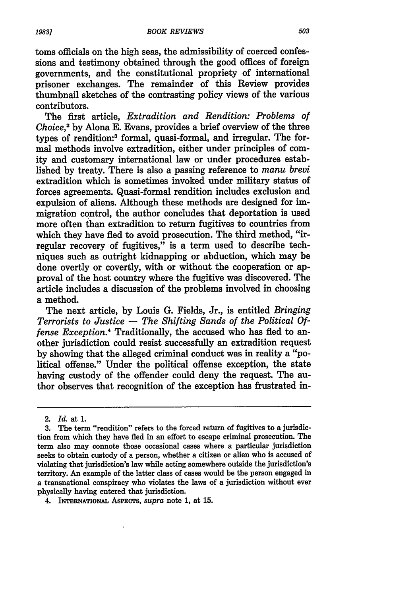toms officials on the high seas, the admissibility of coerced confessions and testimony obtained through the good offices of foreign governments, and the constitutional propriety of international prisoner exchanges. The remainder of this Review provides thumbnail sketches of the contrasting policy views of the various contributors.

The first article, *Extradition and Rendition: Problems of Choice,2* by Alona E. Evans, provides a brief overview of the three types of rendition:3 formal, quasi-formal, and irregular. The formal methods involve extradition, either under principles of comity and customary international law or under procedures established by treaty. There is also a passing reference to *manu brevi* extradition which is sometimes invoked under military status of forces agreements. Quasi-formal rendition includes exclusion and expulsion of aliens. Although these methods are designed for immigration control, the author concludes that deportation is used more often than extradition to return fugitives to countries from which they have fled to avoid prosecution. The third method, "irregular recovery of fugitives," is a term used to describe techniques such as outright kidnapping or abduction, which may be done overtly or covertly, with or without the cooperation or approval of the host country where the fugitive was discovered. The article includes a discussion of the problems involved in choosing a method.

The next article, by Louis G. Fields, Jr., is entitled *Bringing Terrorists to Justice* **-** *The Shifting Sands of the Political Offense Exception.4* Traditionally, the accused who has fled to another jurisdiction could resist successfully an extradition request by showing that the alleged criminal conduct was in reality a "political offense." Under the political offense exception, the state having custody of the offender could deny the request. The author observes that recognition of the exception has frustrated in-

<sup>2.</sup> *Id.* at 1.

**<sup>3.</sup>** The term "rendition" refers to the forced return of fugitives to a jurisdiction from which they have fled in an effort to escape criminal prosecution. The term also may connote those occasional cases where a particular jurisdiction seeks to obtain custody of a person, whether a citizen or alien who is accused of violating that jurisdiction's law while acting somewhere outside the jurisdiction's territory. An example of the latter class of cases would be the person engaged in a transnational conspiracy who violates the laws of a jurisdiction without ever physically having entered that jurisdiction.

<sup>4.</sup> INTERNATIONAL ASPECTS, *supra* note 1, at 15.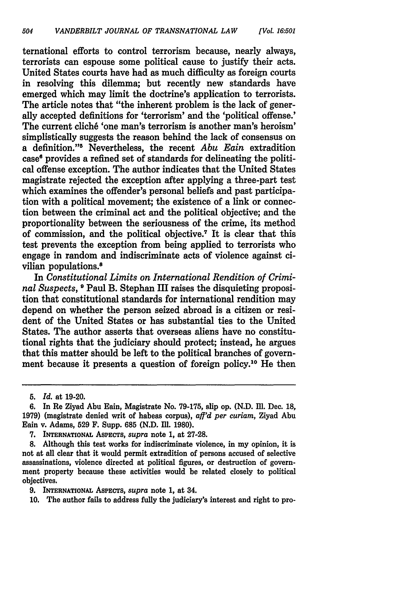ternational efforts to control terrorism because, nearly always, terrorists can espouse some political cause to justify their acts. United States courts have had as much difficulty as foreign courts in resolving this dilemma; but recently new standards have emerged which may limit the doctrine's application to terrorists. The article notes that "the inherent problem is the lack of generally accepted definitions for 'terrorism' and the 'political offense.' The current cliché 'one man's terrorism is another man's heroism' simplistically suggests the reason behind the lack of consensus on a definition."5 Nevertheless, the recent *Abu Eain* extradition case' provides a refined set of standards for delineating the political offense exception. The author indicates that the United States magistrate rejected the exception after applying a three-part test which examines the offender's personal beliefs and past participation with a political movement; the existence of a link or connection between the criminal act and the political objective; and the proportionality between the seriousness of the crime, its method of commission, and the political objective.<sup>7</sup> It is clear that this test prevents the exception from being applied to terrorists who engage in random and indiscriminate acts of violence against civilian populations.<sup>8</sup>

In *Constitutional Limits on International Rendition of Criminal Suspects,* **9** Paul B. Stephan III raises the disquieting proposition that constitutional standards for international rendition may depend on whether the person seized abroad is a citizen or resident of the United States or has substantial ties to the United States. The author asserts that overseas aliens have no constitutional rights that the judiciary should protect; instead, he argues that this matter should be left to the political branches of government because it presents a question of foreign policy.10 He then

**<sup>5.</sup>** *Id.* at 19-20.

<sup>6.</sup> In Re Ziyad Abu Eain, Magistrate No. 79-175, slip op. (N.D. IM. Dec. 18, 1979) (magistrate denied writ of habeas corpus), *aff'd per curiam,* Ziyad Abu Eain v. Adams, 529 F. Supp. 685 (N.D. Ill. 1980).

**<sup>7.</sup>** INTERNATIONAL ASPECTS, *supra* note **1,** at **27-28.**

**<sup>8.</sup>** Although this test works for indiscriminate violence, in my opinion, it is not at all clear that it would permit extradition of persons accused of selective assassinations, violence directed at political figures, or destruction of government property because these activities would be related closely to political objectives.

**<sup>9.</sup> INTERNATIONAL ASPECTS,** *supra* note **1,** at 34.

**<sup>10.</sup>** The author fails to address fully the judiciary's interest and right to pro-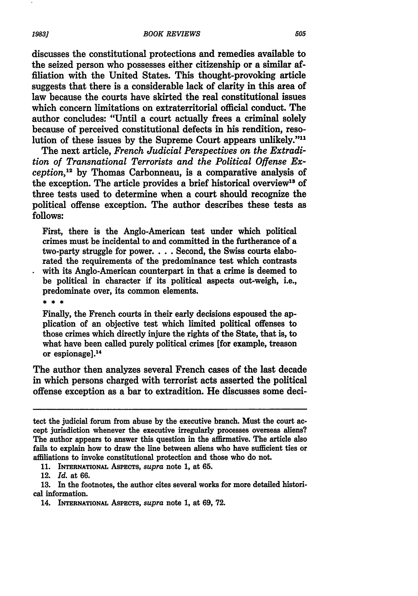discusses the constitutional protections and remedies available to the seized person who possesses either citizenship or a similar affiliation with the United States. This thought-provoking article suggests that there is a considerable lack of clarity in this area of law because the courts have skirted the real constitutional issues which concern limitations on extraterritorial official conduct. The author concludes: "Until a court actually frees a criminal solely because of perceived constitutional defects in his rendition, resolution of these issues by the Supreme Court appears unlikely."<sup>11</sup>

The next article, *French Judicial Perspectives on the Extradition of Transnational Terrorists and the Political Offense Exception,1 <sup>2</sup>*by Thomas Carbonneau, is a comparative analysis of the exception. The article provides a brief historical overview<sup>13</sup> of three tests used to determine when a court should recognize the political offense exception. The author describes these tests as **follows:**

First, there is the Anglo-American test under which political crimes must be incidental to and committed in the furtherance of a two-party struggle for power.... Second, the Swiss courts elaborated the requirements of the predominance test which contrasts with its Anglo-American counterpart in that a crime is deemed to be political in character **if** its political aspects out-weigh, i.e., predominate over, its common elements.

 $* * *$ 

Finally, the French courts in their early decisions espoused the application of an objective test which limited political offenses to those crimes which directly injure the rights of the State, that is, to what have been called purely political crimes [for example, treason or espionage]. <sup>14</sup>

The author then analyzes several French cases of the last decade in which persons charged with terrorist acts asserted the political offense exception as a bar to extradition. He discusses some deci-

**11. INTERNATIONAL ASPECTS,** *supra* note **1,** at **65.**

12. *Id.* at **66.**

**13.** In the footnotes, the author cites several works for more detailed histori**cal information.**

14. **INTERNATIONAL ASPECTS,** *supra* note **1,** at **69, 72.**

tect the judicial forum from abuse **by** the executive branch. Must the court accept jurisdiction whenever the executive irregularly processes overseas aliens? The author appears to answer this question in the affirmative. The article also fails to explain how to draw the line between aliens who have sufficient ties or affiliations to invoke constitutional protection and those who do not.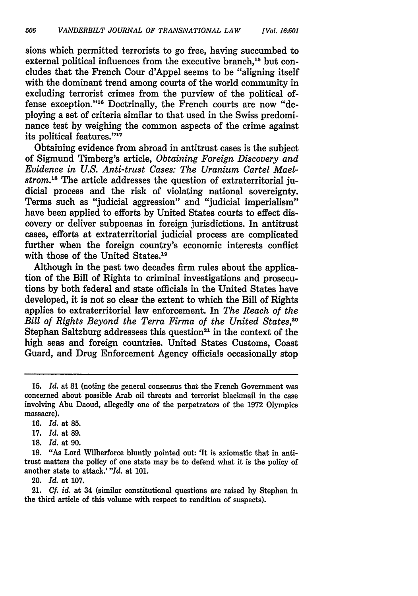sions which permitted terrorists to go free, having succumbed to external political influences from the executive branch.<sup>15</sup> but concludes that the French Cour d'Appel seems to be "aligning itself with the dominant trend among courts of the world community in excluding terrorist crimes from the purview of the political offense exception."18 Doctrinally, the French courts are now "deploying a set of criteria similar to that used in the Swiss predominance test **by** weighing the common aspects of the crime against its political features."<sup>17</sup>

Obtaining evidence from abroad in antitrust cases is the subject of Sigmund Timberg's article, *Obtaining Foreign Discovery and Evidence in U.S. Anti-trust Cases: The Uranium Cartel Maelstrom."8* The article addresses the question of extraterritorial judicial process and the risk of violating national sovereignty. Terms such as "judicial aggression" and "judicial imperialism" have been applied to efforts **by** United States courts to effect discovery or deliver subpoenas in foreign jurisdictions. In antitrust cases, efforts at extraterritorial judicial process are complicated further when the foreign country's economic interests conflict with those of the United States.19

Although in the past two decades firm rules about the application of the Bill of Rights to criminal investigations and prosecutions **by** both federal and state officials in the United States have developed, it is not so clear the extent to which the Bill of Rights applies to extraterritorial law enforcement. In *The Reach of the Bill of Rights Beyond the Terra Firma of the United States.*<sup>20</sup> Stephan Saltzburg addressess this question<sup>21</sup> in the context of the high seas and foreign countries. United States Customs, Coast Guard, and Drug Enforcement Agency officials occasionally stop

20. *Id.* at 107.

21. *Cf. id.* at 34 (similar constitutional questions are raised by Stephan in the third article of this volume with respect to rendition of suspects).

<sup>15.</sup> *Id.* at 81 (noting the general consensus that the French Government was concerned about possible Arab oil threats and terrorist blackmail in the case involving Abu Daoud, allegedly one of the perpetrators of the 1972 Olympics massacre).

**<sup>16.</sup>** *Id.* at **85.**

**<sup>17.</sup>** *Id.* at **89.**

**<sup>18.</sup>** *Id.* at **90.**

<sup>19. &</sup>quot;As Lord Wilberforce bluntly pointed out: 'It is axiomatic that in antitrust matters the policy of one state may be to defend what it is the policy of another state to attack.' *"Id.* at 101.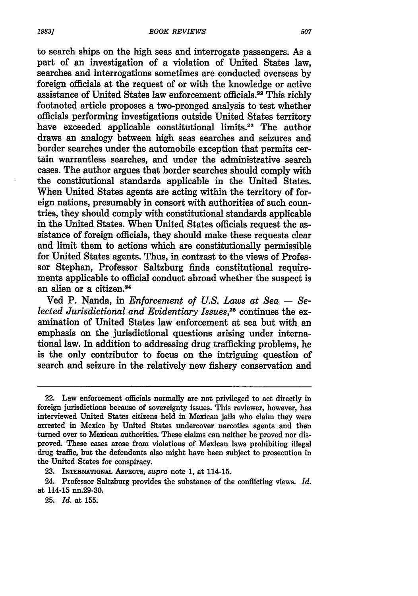to search ships on the high seas and interrogate passengers. As a part of an investigation of a violation of United States law, searches and interrogations sometimes are conducted overseas by foreign officials at the request of or with the knowledge or active assistance of United States law enforcement officials.<sup>22</sup> This richly footnoted article proposes a two-pronged analysis to test whether officials performing investigations outside United States territory have exceeded applicable constitutional limits.<sup>23</sup> The author draws an analogy between high seas searches and seizures and border searches under the automobile exception that permits certain warrantless searches, and under the administrative search cases. The author argues that border searches should comply with the constitutional standards applicable in the United States. When United States agents are acting within the territory of foreign nations, presumably in consort with authorities of such countries, they should comply with constitutional standards applicable in the United States. When United States officials request the assistance of foreign officials, they should make these requests clear and limit them to actions which are constitutionally permissible for United States agents. Thus, in contrast to the views of Professor Stephan, Professor Saltzburg finds constitutional requirements applicable to official conduct abroad whether the suspect is an alien or a citizen.24

Ved P. Nanda, in *Enforcement of U.S. Laws at Sea* **-** *Selected Jurisdictional and Evidentiary Issues,25* continues the examination of United States law enforcement at sea but with an emphasis on the jurisdictional questions arising under international law. In addition to addressing drug trafficking problems, he is the only contributor to focus on the intriguing question of search and seizure in the relatively new fishery conservation and

<sup>22.</sup> Law enforcement officials normally are not privileged to act directly in foreign jurisdictions because of sovereignty issues. This reviewer, however, has interviewed United States citizens held in Mexican jails who claim they were arrested in Mexico **by** United States undercover narcotics agents and then turned over to Mexican authorities. These claims can neither be proved nor disproved. These cases arose from violations of Mexican laws prohibiting illegal drug traffic, but the defendants also might have been subject to prosecution in the United States for conspiracy.

**<sup>23.</sup> INTERNATIONAL ASPECTS,** *supra* note **1,** at 114-15.

<sup>24.</sup> Professor Saltzburg provides the substance of the conflicting views. *Id.* at 114-15 nn.29-30.

**<sup>25.</sup>** *Id.* at **155.**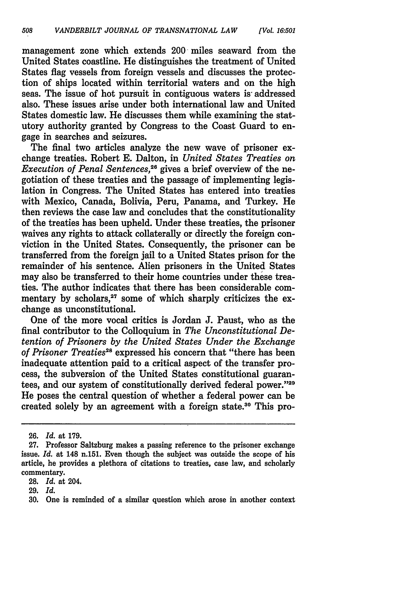management zone which extends 200 miles seaward from the United States coastline. He distinguishes the treatment of United States flag vessels from foreign vessels and discusses the protection of ships located within territorial waters and on the high seas. The issue of hot pursuit in contiguous waters is- addressed also. These issues arise under both international law and United States domestic law. He discusses them while examining the statutory authority granted by Congress to the Coast Guard to engage in searches and seizures.

The final two articles analyze the new wave of prisoner exchange treaties. Robert **E.** Dalton, in *United States Treaties on Execution of Penal Sentences*,<sup>26</sup> gives a brief overview of the negotiation of these treaties and the passage of implementing legislation in Congress. The United States has entered into treaties with Mexico, Canada, Bolivia, Peru, Panama, and Turkey. He then reviews the case law and concludes that the constitutionality of the treaties has been upheld. Under these treaties, the prisoner waives any rights to attack collaterally or directly the foreign conviction in the United States. Consequently, the prisoner can be transferred from the foreign jail to a United States prison for the remainder of his sentence. Alien prisoners in the United States may also be transferred to their home countries under these treaties. The author indicates that there has been considerable commentary by scholars,<sup>27</sup> some of which sharply criticizes the exchange as unconstitutional.

One of the more vocal critics is Jordan **J.** Paust, who as the final contributor to the Colloquium in *The Unconstitutional Detention of Prisoners by the United States Under the Exchange of Prisoner Treaties28* expressed his concern that "there has been inadequate attention paid to a critical aspect of the transfer process, the subversion of the United States constitutional guarantees, and our system of constitutionally derived federal power."29 He poses the central question of whether a federal power can be created solely **by** an agreement with a foreign state.30 This pro-

**<sup>26.</sup>** *Id.* at **179.**

**<sup>27.</sup>** Professor Saltzburg makes a passing reference to the prisoner exchange issue. *Id.* at 148 n.151. Even though the subject was outside the scope of his article, he provides a plethora of citations to treaties, case law, and scholarly commentary.

**<sup>28.</sup>** *Id.* at 204.

**<sup>29.</sup>** *Id.*

**<sup>30.</sup>** One is reminded of a similar question which arose in another context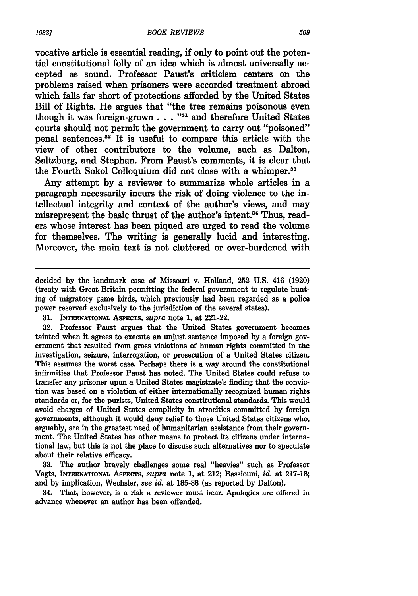vocative article is essential reading, if only to point out the potential constitutional folly of an idea which is almost universally accepted as sound. Professor Paust's criticism centers on the problems raised when prisoners were accorded treatment abroad which falls far short of protections afforded **by** the United States Bill of Rights. He argues that "the tree remains poisonous even though it was foreign-grown . . . "<sup>31</sup> and therefore United States courts should not permit the government to carry out "poisoned" penal sentences.<sup>32</sup> It is useful to compare this article with the view of other contributors to the volume, such as Dalton, Saltzburg, and Stephan. From Paust's comments, it is clear that the Fourth Sokol Colloquium did not close with a whimper.<sup>33</sup>

Any attempt **by** a reviewer to summarize whole articles in a paragraph necessarily incurs the risk of doing violence to the intellectual integrity and context of the author's views, and may misrepresent the basic thrust of the author's intent. 4 Thus, readers whose interest has been piqued are urged to read the volume for themselves. The writing is generally lucid and interesting. Moreover, the main text is not cluttered or over-burdened with

**31. INTERNATIONAL ASPECTS,** *supra* note **1,** at 221-22.

**32.** Professor Paust argues that the United States government becomes tainted when it agrees to execute an unjust sentence imposed **by** a foreign government that resulted from gross violations of human rights committed in the investigation, seizure, interrogation, or prosecution of a United States citizen. This assumes the worst case. Perhaps there is a way around the constitutional infirmities that Professor Paust has noted. The United States could refuse to transfer any prisoner upon a United States magistrate's finding that the conviction was based on a violation of either internationally recognized human rights standards or, for the purists, United States constitutional standards. This would avoid charges of United States complicity in atrocities **committed by** foreign governments, although it would deny relief to those United States citizens who, arguably, are in the greatest need of humanitarian assistance from their government. The United States has other means to protect its citizens under international law, but this is not the place to discuss such alternatives nor to speculate about their relative efficacy.

**33.** The author bravely challenges some real "heavies" such as Professor Vagts, **INTERNATIONAL AsPECTs,** *supra* note **1,** at 212; Bassiouni, *id.* at **217-18;** and **by** implication, Wechsler, *see id.* at **185-86** (as reported **by** Dalton).

34. That, however, is a risk a reviewer must bear. Apologies are offered in advance whenever an author has been offended.

decided **by** the landmark case of Missouri v. Holland, **252 U.S.** 416 **(1920)** (treaty with Great Britain permitting the federal government to regulate hunting of migratory game birds, which previously had been regarded as a police power reserved exclusively to the jurisdiction of the several states).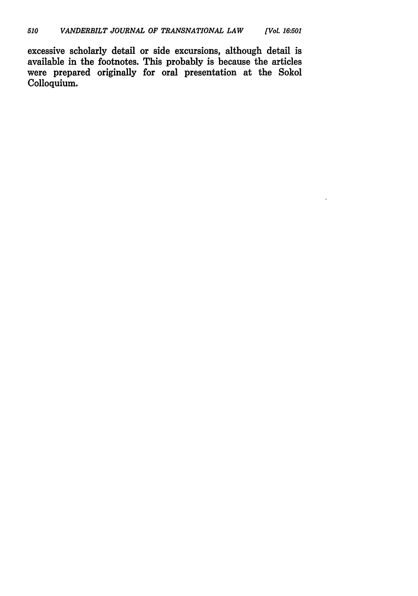excessive scholarly detail or side excursions, although detail is available in the footnotes. This probably is because the articles were prepared originally for oral presentation at the Sokol Colloquium.

 $\ddot{\phantom{a}}$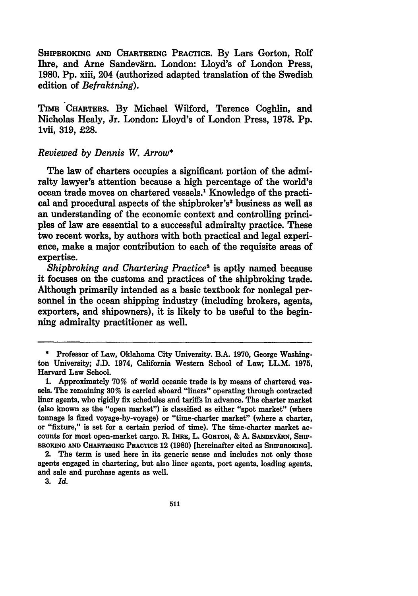SHIPBROKING **AND** CHARTERING PRACTICE. By Lars Gorton, **Rolf** Ihre, and Arne Sandevärn. London: Lloyd's of London Press. **1980. Pp.** xiii, 204 (authorized adapted translation of the Swedish edition of *Befraktning).*

TIME CHARTERS. By Michael Wilford, Terence Coghlin, and Nicholas Healy, Jr. London: Lloyd's of London Press, **1978.** Pp. 1vii, **319,** £28.

#### *Reviewed by Dennis W. Arrow\**

The law of charters occupies a significant portion of the admiralty lawyer's attention because a high percentage of the world's ocean trade moves on chartered vessels.' Knowledge of the practical and procedural aspects of the shipbroker's<sup>2</sup> business as well as an understanding of the economic context and controlling principles of law are essential to a successful admiralty practice. These two recent works, by authors with both practical and legal experience, make a major contribution to each of the requisite areas of expertise.

*Shipbroking and Chartering Practices* is aptly named because it focuses on the customs and practices of the shipbroking trade. Although primarily intended as a basic textbook for nonlegal personnel in the ocean shipping industry (including brokers, agents, exporters, and shipowners), it is likely to be useful to the beginning admiralty practitioner as well.

<sup>\*</sup> Professor of Law, Oklahoma City University. B.A. 1970, George Washington University; J.D. 1974, California Western School of Law; LL.M. 1975, Harvard Law School.

<sup>1.</sup> Approximately **70%** of world oceanic trade is by means of chartered vessels. The remaining **30%** is carried aboard "liners" operating through contracted liner agents, who rigidly fix schedules and tariffs in advance. The charter market (also known as the "open market") is classified as either "spot market" (where tonnage is fixed voyage-by-voyage) or "time-charter market" (where a charter, or "fixture," is set for a certain period of time). The time-charter market accounts for most open-market cargo. R. **IHRE,** L. **GORTON,** & A. **SANDEVXRN, SHIP-BROKING AND CHARTERING PRACTICE** 12 **(1980)** [hereinafter cited as **SHIPBROKING].**

<sup>2.</sup> The term is used here in its generic sense and includes not only those agents engaged in chartering, but also liner agents, port agents, loading agents, and sale and purchase agents as well.

**<sup>3.</sup>** *Id.*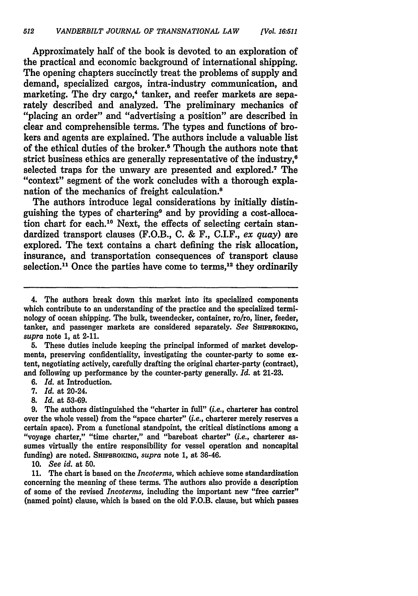Approximately half of the book is devoted to an exploration of the practical and economic background of international shipping. The opening chapters succinctly treat the problems of supply and demand, specialized cargos, intra-industry communication, and marketing. The dry cargo,<sup>4</sup> tanker, and reefer markets are separately described and analyzed. The preliminary mechanics of "placing an order" and "advertising a position" are described in clear and comprehensible terms. The types and functions of brokers and agents are explained. The authors include a valuable list of the ethical duties of the broker.5 Though the authors note that strict business ethics are generally representative of the industry,<sup>6</sup> selected traps for the unwary are presented and explored.<sup>7</sup> The "context" segment of the work concludes with a thorough explanation of the mechanics of freight calculation.8

The authors introduce legal considerations by initially distinguishing the types of chartering9 and by providing a cost-allocation chart for each.<sup>10</sup> Next, the effects of selecting certain standardized transport clauses (F.O.B., C. & F., C.I.F., *ex quay)* are explored. The text contains a chart defining the risk allocation, insurance, and transportation consequences of transport clause selection.<sup>11</sup> Once the parties have come to terms.<sup>12</sup> they ordinarily

**5.** These duties include keeping the principal informed of market developments, preserving confidentiality, investigating the counter-party to some extent, negotiating actively, carefully drafting the original charter-party (contract), and following up performance by the counter-party generally. *Id.* at 21-23.

*6. Id.* at Introduction.

*7. Id.* at 20-24.

*8. Id.* at 53-69.

**9.** The authors distinguished the "charter in full" *(i.e.,* charterer has control over the whole vessel) from the "space charter" *(i.e.,* charterer merely reserves a certain space). From a functional standpoint, the critical distinctions among a "voyage charter," "time charter," and "bareboat charter" *(i.e.,* charterer assumes virtually the entire responsibility for vessel operation and noncapital funding) are noted. SHIPBROKING, *supra* note 1, at 36-46.

10. *See id.* at **50.**

11. The chart is based on the *Incoterms,* which achieve some standardization concerning the meaning of these terms. The authors also provide a description of some of the revised *Incoterms,* including the important new "free carrier" (named point) clause, which is based on the old F.O.B. clause, but which passes

<sup>4.</sup> The authors break down this market into its specialized components which contribute to an understanding of the practice and the specialized terminology of ocean shipping. The bulk, tweendecker, container, ro/ro, liner, feeder, tanker, and passenger markets are considered separately. *See* SHPBROKMG, *supra* note 1, at 2-11.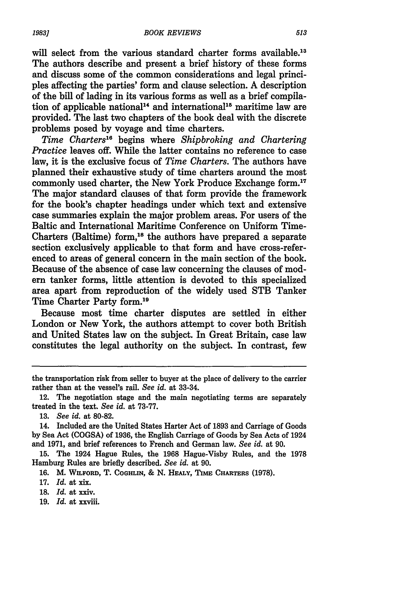will select from the various standard charter forms available.<sup>13</sup> The authors describe and present a brief history of these forms and discuss some of the common considerations and legal principles affecting the parties' form and clause selection. A description of the bill of lading in its various forms as well as a brief compilation of applicable national<sup>14</sup> and international<sup>15</sup> maritime law are provided. The last two chapters of the book deal with the discrete problems posed by voyage and time charters.

*Time Charters"'* begins where *Shipbroking and Chartering Practice leaves off.* While the latter contains no reference to case law, it is the exclusive focus of *Time Charters.* The authors have planned their exhaustive study of time charters around the most commonly used charter, the New York Produce Exchange form.<sup>17</sup> The major standard clauses of that form provide the framework for the book's chapter headings under which text and extensive case summaries explain the major problem areas. For users of the Baltic and International Maritime Conference on Uniform Time-Charters (Baltime) form,<sup>18</sup> the authors have prepared a separate section exclusively applicable to that form and have cross-referenced to areas of general concern in the main section of the book. Because of the absence of case law concerning the clauses of modern tanker forms, little attention is devoted to this specialized area apart from reproduction of the widely used STB Tanker Time Charter Party form.<sup>19</sup>

Because most time charter disputes are settled in either London or New York, the authors attempt to cover both British and United States law on the subject. In Great Britain, case law constitutes the legal authority on the subject. In contrast, few

15. The 1924 Hague Rules, the 1968 Hague-Visby Rules, and the 1978 Hamburg Rules are briefly described. *See id.* at 90.

16. M. **WILFORD,** T. **COGHLIN,** & N. **HEALY,** 'mE **CHARTERS** (1978).

- 17. *Id.* at xix.
- 18. *Id.* **at** xxiv.
- 19. *Id.* at xxviii.

the transportation risk from seller to buyer at the place of delivery to the carrier rather than at the vessel's rail. *See id.* at 33-34.

<sup>12.</sup> The negotiation stage and the main negotiating terms are separately treated in the text. *See id.* at 73-77.

<sup>13.</sup> *See id.* at 80-82.

<sup>14.</sup> Included are the United States Harter Act of 1893 and Carriage of Goods by Sea Act **(COGSA)** of 1936, the English Carriage of Goods by Sea Acts of 1924 and 1971, and brief references to French and German law. *See id.* at 90.